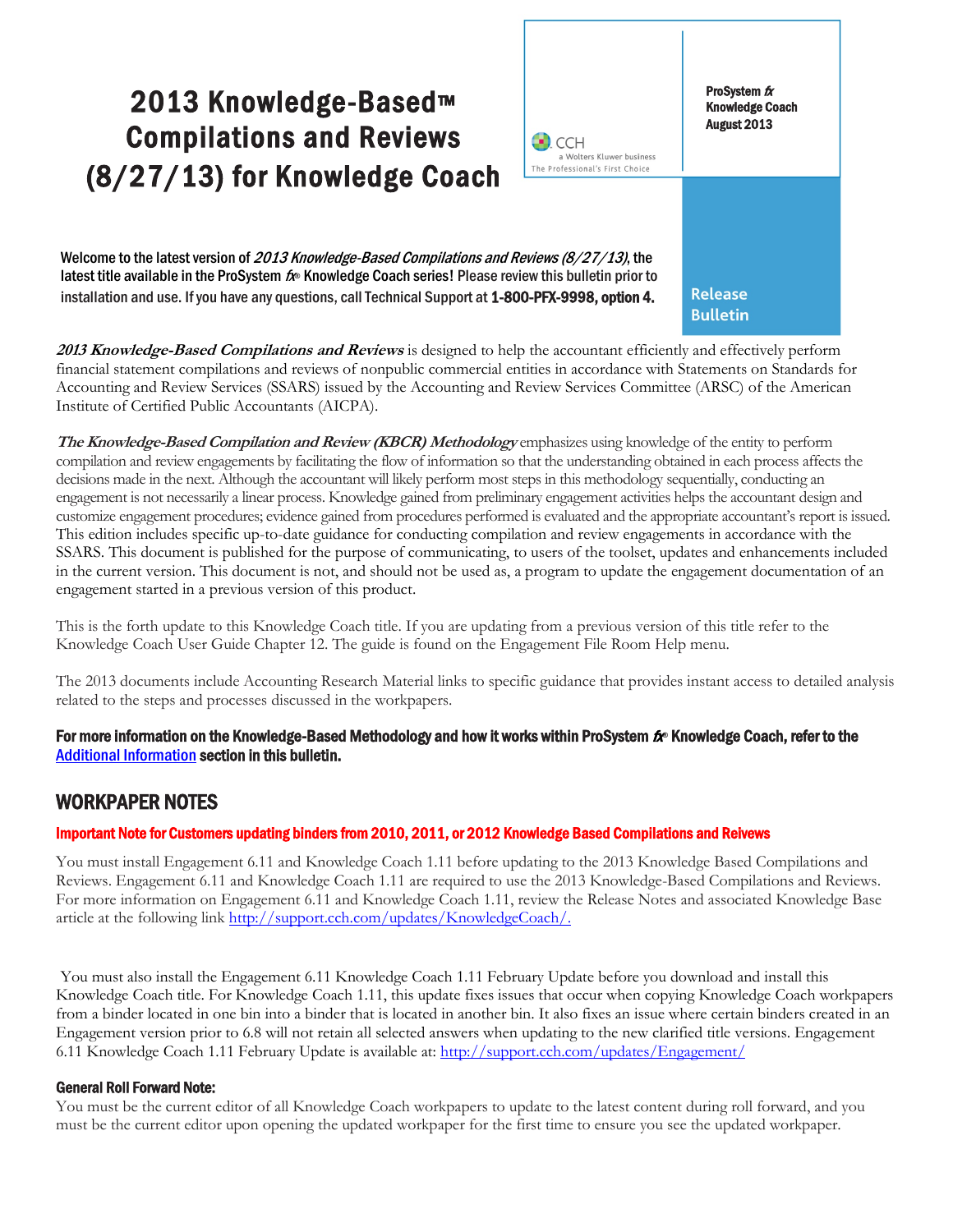# 2013 Knowledge-Based™ Compilations and Reviews (8/27/13) for Knowledge Coach



**Bulletin** 

Welcome to the latest version of 2013 Knowledge-Based Compilations and Reviews (8/27/13), the latest title available in the ProSystem  $f_x$  Knowledge Coach series! Please review this bulletin prior to installation and use. If you have any questions, call Technical Support at 1-800-PFX-9998, option 4.

**2013 Knowledge-Based Compilations and Reviews** is designed to help the accountant efficiently and effectively perform financial statement compilations and reviews of nonpublic commercial entities in accordance with Statements on Standards for Accounting and Review Services (SSARS) issued by the Accounting and Review Services Committee (ARSC) of the American Institute of Certified Public Accountants (AICPA).

**The Knowledge-Based Compilation and Review (KBCR) Methodology** emphasizes using knowledge of the entity to perform compilation and review engagements by facilitating the flow of information so that the understanding obtained in each process affects the decisions made in the next. Although the accountant will likely perform most steps in this methodology sequentially, conducting an engagement is not necessarily a linear process. Knowledge gained from preliminary engagement activities helps the accountant design and customize engagement procedures; evidence gained from procedures performed is evaluated and the appropriate accountant's report is issued. This edition includes specific up-to-date guidance for conducting compilation and review engagements in accordance with the SSARS. This document is published for the purpose of communicating, to users of the toolset, updates and enhancements included in the current version. This document is not, and should not be used as, a program to update the engagement documentation of an engagement started in a previous version of this product.

This is the forth update to this Knowledge Coach title. If you are updating from a previous version of this title refer to the Knowledge Coach User Guide Chapter 12. The guide is found on the Engagement File Room Help menu.

The 2013 documents include Accounting Research Material links to specific guidance that provides instant access to detailed analysis related to the steps and processes discussed in the workpapers.

For more information on the Knowledge-Based Methodology and how it works within ProSystem  $f_\text{R}$  Knowledge Coach, refer to the [Additional Information s](#page-2-0)ection in this bulletin.

# WORKPAPER NOTES

#### Important Note for Customers updating binders from 2010, 2011, or 2012 Knowledge Based Compilations and Reivews

You must install Engagement 6.11 and Knowledge Coach 1.11 before updating to the 2013 Knowledge Based Compilations and Reviews. Engagement 6.11 and Knowledge Coach 1.11 are required to use the 2013 Knowledge-Based Compilations and Reviews. For more information on Engagement 6.11 and Knowledge Coach 1.11, review the Release Notes and associated Knowledge Base article at the following link [http://support.cch.com/updates/KnowledgeCoach/.](http://support.cch.com/updates/KnowledgeCoach/)

You must also install the Engagement 6.11 Knowledge Coach 1.11 February Update before you download and install this Knowledge Coach title. For Knowledge Coach 1.11, this update fixes issues that occur when copying Knowledge Coach workpapers from a binder located in one bin into a binder that is located in another bin. It also fixes an issue where certain binders created in an Engagement version prior to 6.8 will not retain all selected answers when updating to the new clarified title versions. Engagement 6.11 Knowledge Coach 1.11 February Update is available at:<http://support.cch.com/updates/Engagement/>

#### General Roll Forward Note:

You must be the current editor of all Knowledge Coach workpapers to update to the latest content during roll forward, and you must be the current editor upon opening the updated workpaper for the first time to ensure you see the updated workpaper.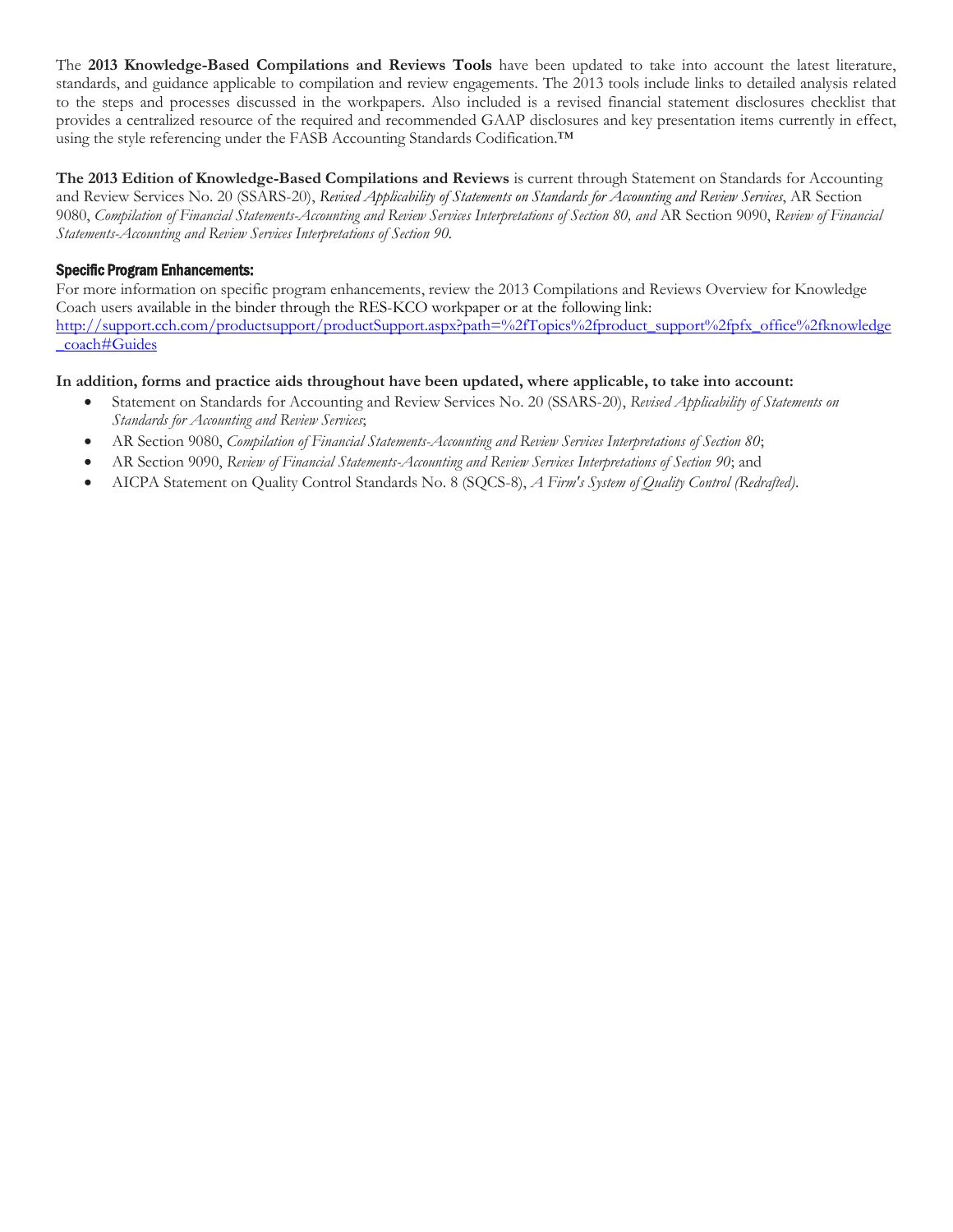The **2013 Knowledge-Based Compilations and Reviews Tools** have been updated to take into account the latest literature, standards, and guidance applicable to compilation and review engagements. The 2013 tools include links to detailed analysis related to the steps and processes discussed in the workpapers. Also included is a revised financial statement disclosures checklist that provides a centralized resource of the required and recommended GAAP disclosures and key presentation items currently in effect, using the style referencing under the FASB Accounting Standards Codification.™

**The 2013 Edition of Knowledge-Based Compilations and Reviews** is current through Statement on Standards for Accounting and Review Services No. 20 (SSARS-20), *Revised Applicability of Statements on Standards for Accounting and Review Services*, AR Section 9080, *Compilation of Financial Statements-Accounting and Review Services Interpretations of Section 80, and* AR Section 9090, *Review of Financial Statements-Accounting and Review Services Interpretations of Section 90.*

### Specific Program Enhancements:

For more information on specific program enhancements, review the 2013 Compilations and Reviews Overview for Knowledge Coach users available in the binder through the RES-KCO workpaper or at the following link: [http://support.cch.com/productsupport/productSupport.aspx?path=%2fTopics%2fproduct\\_support%2fpfx\\_office%2fknowledge](http://support.cch.com/productsupport/productSupport.aspx?path=%2fTopics%2fproduct_support%2fpfx_office%2fknowledge_coach#Guides) [\\_coach#Guides](http://support.cch.com/productsupport/productSupport.aspx?path=%2fTopics%2fproduct_support%2fpfx_office%2fknowledge_coach#Guides)

## **In addition, forms and practice aids throughout have been updated, where applicable, to take into account:**

- Statement on Standards for Accounting and Review Services No. 20 (SSARS-20), *Revised Applicability of Statements on Standards for Accounting and Review Services*;
- AR Section 9080, *Compilation of Financial Statements-Accounting and Review Services Interpretations of Section 80*;
- AR Section 9090, *Review of Financial Statements-Accounting and Review Services Interpretations of Section 90*; and
- AICPA Statement on Quality Control Standards No. 8 (SQCS-8), *A Firm's System of Quality Control (Redrafted)*.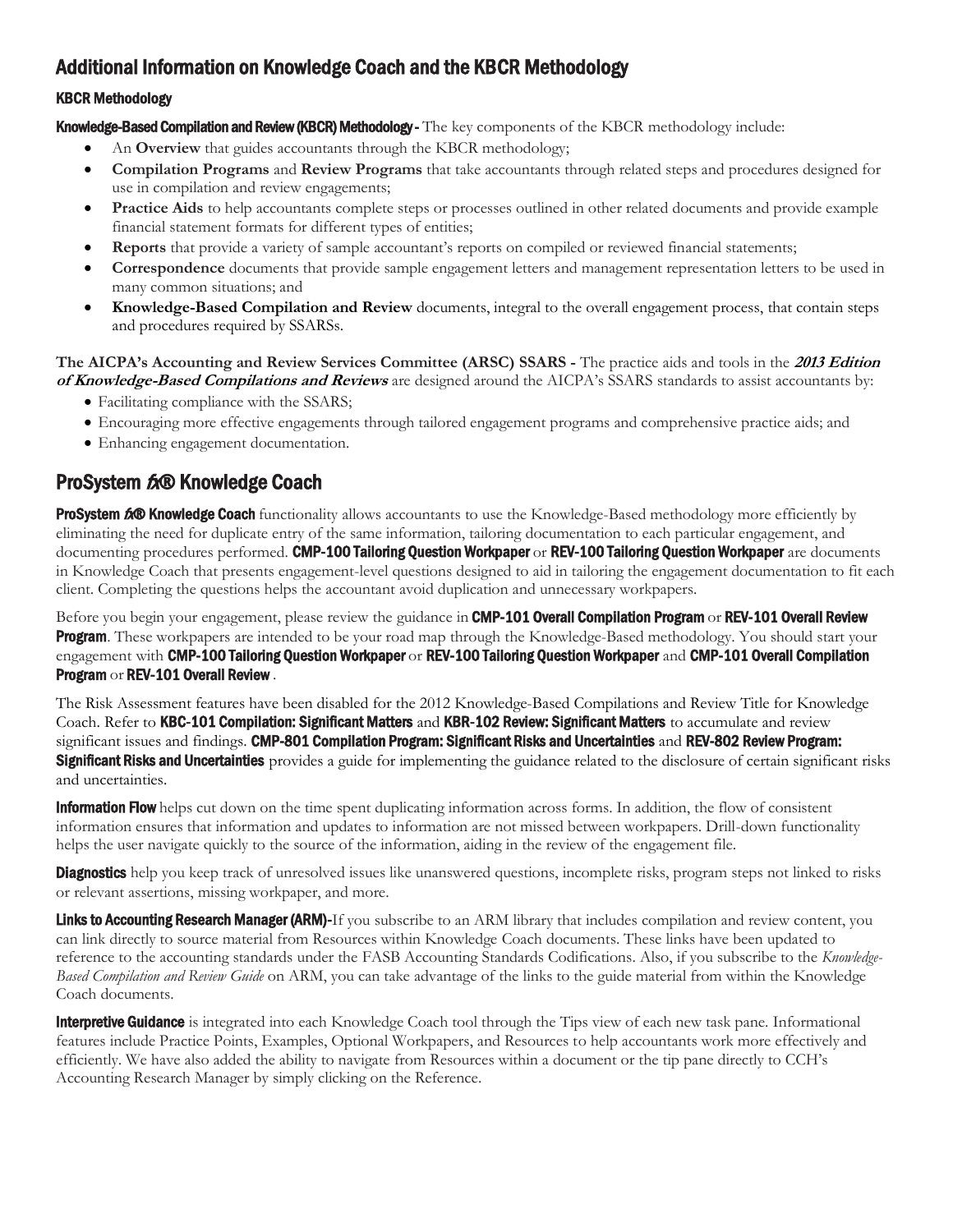# <span id="page-2-0"></span>Additional Information on Knowledge Coach and the KBCR Methodology

## KBCR Methodology

Knowledge-Based Compilation and Review (KBCR) Methodology - The key components of the KBCR methodology include:

- An **Overview** that guides accountants through the KBCR methodology;
- **Compilation Programs** and **Review Programs** that take accountants through related steps and procedures designed for use in compilation and review engagements;
- **Practice Aids** to help accountants complete steps or processes outlined in other related documents and provide example financial statement formats for different types of entities;
- **Reports** that provide a variety of sample accountant's reports on compiled or reviewed financial statements;
- **Correspondence** documents that provide sample engagement letters and management representation letters to be used in many common situations; and
- **Knowledge-Based Compilation and Review** documents, integral to the overall engagement process, that contain steps and procedures required by SSARSs.

#### **The AICPA's Accounting and Review Services Committee (ARSC) SSARS -** The practice aids and tools in the **2013 Edition of Knowledge-Based Compilations and Reviews** are designed around the AICPA's SSARS standards to assist accountants by:

- Facilitating compliance with the SSARS;
- Encouraging more effective engagements through tailored engagement programs and comprehensive practice aids; and
- Enhancing engagement documentation.

# ProSystem 6<sup>x</sup>® Knowledge Coach

ProSystem 600 Knowledge Coach functionality allows accountants to use the Knowledge-Based methodology more efficiently by eliminating the need for duplicate entry of the same information, tailoring documentation to each particular engagement, and documenting procedures performed. CMP-100 Tailoring Question Workpaper or REV-100 Tailoring Question Workpaper are documents in Knowledge Coach that presents engagement-level questions designed to aid in tailoring the engagement documentation to fit each client. Completing the questions helps the accountant avoid duplication and unnecessary workpapers.

Before you begin your engagement, please review the guidance in CMP-101 Overall Compilation Program or REV-101 Overall Review **Program.** These workpapers are intended to be your road map through the Knowledge-Based methodology. You should start your engagement with CMP-100 Tailoring Question Workpaper or REV-100 Tailoring Question Workpaper and CMP-101 Overall Compilation Program or REV-101 Overall Review .

The Risk Assessment features have been disabled for the 2012 Knowledge-Based Compilations and Review Title for Knowledge Coach. Refer to KBC-101 Compilation: Significant Matters and KBR-102 Review: Significant Matters to accumulate and review significant issues and findings. CMP-801 Compilation Program: Significant Risks and Uncertainties and REV-802 Review Program: **Significant Risks and Uncertainties** provides a guide for implementing the guidance related to the disclosure of certain significant risks and uncertainties.

**Information Flow** helps cut down on the time spent duplicating information across forms. In addition, the flow of consistent information ensures that information and updates to information are not missed between workpapers. Drill-down functionality helps the user navigate quickly to the source of the information, aiding in the review of the engagement file.

**Diagnostics** help you keep track of unresolved issues like unanswered questions, incomplete risks, program steps not linked to risks or relevant assertions, missing workpaper, and more.

Links to Accounting Research Manager (ARM)-If you subscribe to an ARM library that includes compilation and review content, you can link directly to source material from Resources within Knowledge Coach documents. These links have been updated to reference to the accounting standards under the FASB Accounting Standards Codifications. Also, if you subscribe to the *Knowledge-Based Compilation and Review Guide* on ARM, you can take advantage of the links to the guide material from within the Knowledge Coach documents.

Interpretive Guidance is integrated into each Knowledge Coach tool through the Tips view of each new task pane. Informational features include Practice Points, Examples, Optional Workpapers, and Resources to help accountants work more effectively and efficiently. We have also added the ability to navigate from Resources within a document or the tip pane directly to CCH's Accounting Research Manager by simply clicking on the Reference.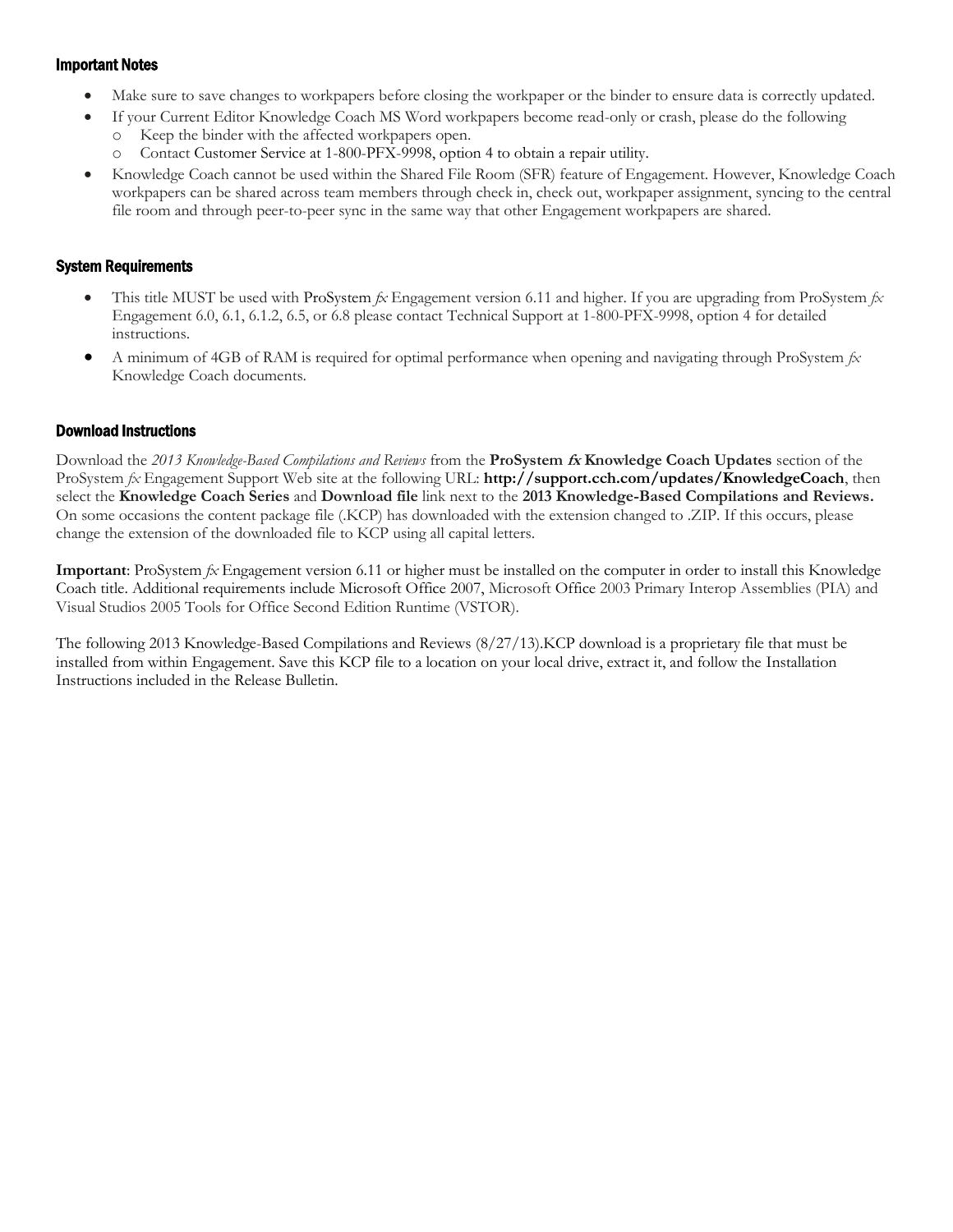#### Important Notes

- Make sure to save changes to workpapers before closing the workpaper or the binder to ensure data is correctly updated.
- If your Current Editor Knowledge Coach MS Word workpapers become read-only or crash, please do the following
	- Keep the binder with the affected workpapers open.
	- o Contact Customer Service at 1-800-PFX-9998, option 4 to obtain a repair utility.
- Knowledge Coach cannot be used within the Shared File Room (SFR) feature of Engagement. However, Knowledge Coach workpapers can be shared across team members through check in, check out, workpaper assignment, syncing to the central file room and through peer-to-peer sync in the same way that other Engagement workpapers are shared.

#### System Requirements

- This title MUST be used with ProSystem  $\hat{\mu}$  Engagement version 6.11 and higher. If you are upgrading from ProSystem  $\hat{\mu}$ Engagement 6.0, 6.1, 6.1.2, 6.5, or 6.8 please contact Technical Support at 1-800-PFX-9998, option 4 for detailed instructions.
- A minimum of 4GB of RAM is required for optimal performance when opening and navigating through ProSystem *fx*  Knowledge Coach documents.

## Download Instructions

Download the *2013 Knowledge-Based Compilations and Reviews* from the **ProSystem fx Knowledge Coach Updates** section of the ProSystem *fx* Engagement Support Web site at the following URL: **http://support.cch.com/updates/KnowledgeCoach**, then select the **Knowledge Coach Series** and **Download file** link next to the **2013 Knowledge-Based Compilations and Reviews.** On some occasions the content package file (.KCP) has downloaded with the extension changed to .ZIP. If this occurs, please change the extension of the downloaded file to KCP using all capital letters.

**Important**: ProSystem *fx* Engagement version 6.11 or higher must be installed on the computer in order to install this Knowledge Coach title. Additional requirements include Microsoft Office 2007, Microsoft Office 2003 Primary Interop Assemblies (PIA) and Visual Studios 2005 Tools for Office Second Edition Runtime (VSTOR).

The following 2013 Knowledge-Based Compilations and Reviews (8/27/13).KCP download is a proprietary file that must be installed from within Engagement. Save this KCP file to a location on your local drive, extract it, and follow the Installation Instructions included in the Release Bulletin.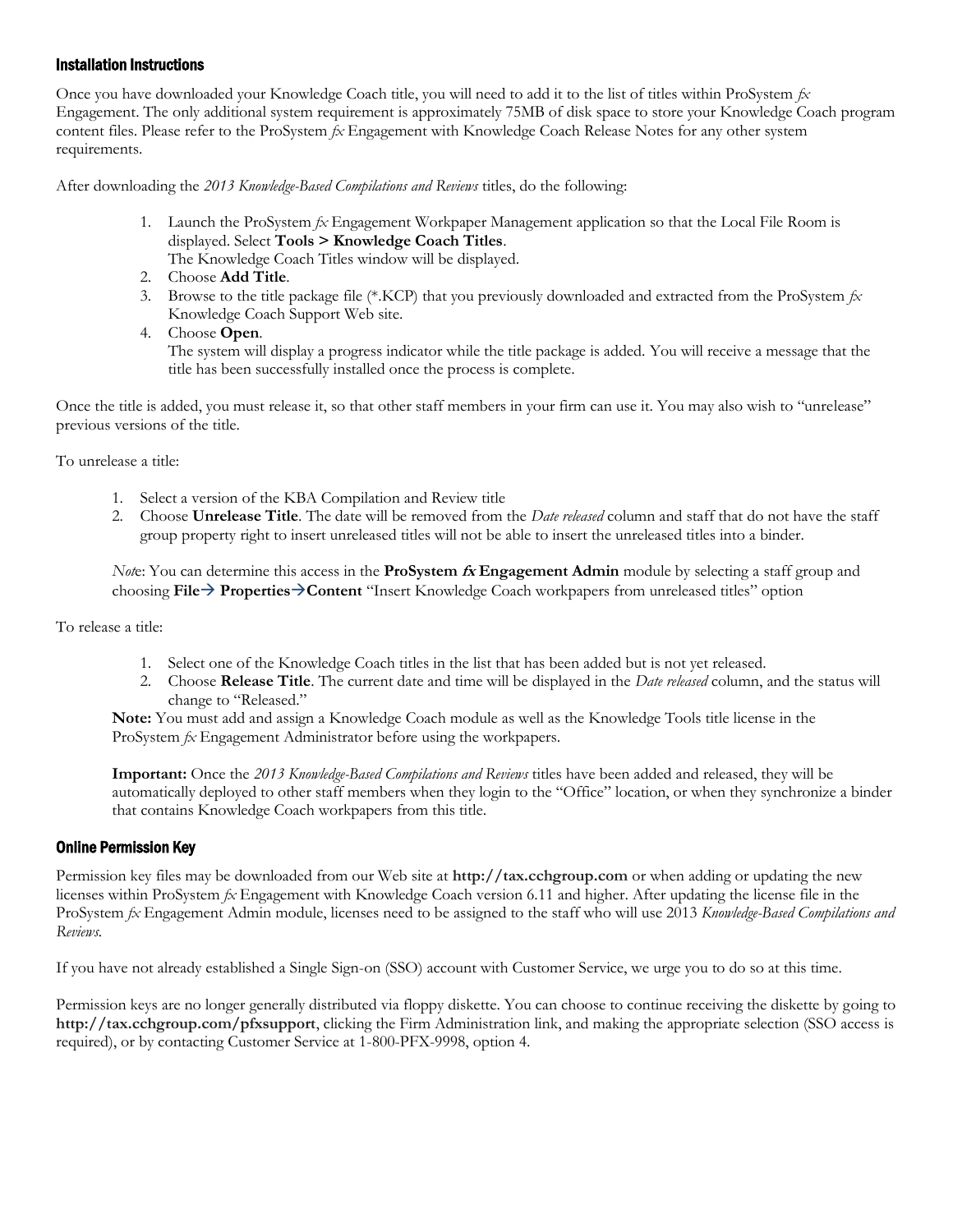#### Installation Instructions

Once you have downloaded your Knowledge Coach title, you will need to add it to the list of titles within ProSystem *fx*  Engagement. The only additional system requirement is approximately 75MB of disk space to store your Knowledge Coach program content files. Please refer to the ProSystem *fx* Engagement with Knowledge Coach Release Notes for any other system requirements.

After downloading the *2013 Knowledge-Based Compilations and Reviews* titles, do the following:

- 1. Launch the ProSystem *fx* Engagement Workpaper Management application so that the Local File Room is displayed. Select **Tools > Knowledge Coach Titles**.
	- The Knowledge Coach Titles window will be displayed.
- 2. Choose **Add Title**.
- 3. Browse to the title package file (\*.KCP) that you previously downloaded and extracted from the ProSystem *fx*  Knowledge Coach Support Web site.
- 4. Choose **Open**.

The system will display a progress indicator while the title package is added. You will receive a message that the title has been successfully installed once the process is complete.

Once the title is added, you must release it, so that other staff members in your firm can use it. You may also wish to "unrelease" previous versions of the title.

To unrelease a title:

- 1. Select a version of the KBA Compilation and Review title
- 2. Choose **Unrelease Title**. The date will be removed from the *Date released* column and staff that do not have the staff group property right to insert unreleased titles will not be able to insert the unreleased titles into a binder.

*Not*e: You can determine this access in the **ProSystem fx Engagement Admin** module by selecting a staff group and choosing **File PropertiesContent** "Insert Knowledge Coach workpapers from unreleased titles" option

To release a title:

- 1. Select one of the Knowledge Coach titles in the list that has been added but is not yet released.
- 2. Choose **Release Title**. The current date and time will be displayed in the *Date released* column, and the status will change to "Released."

**Note:** You must add and assign a Knowledge Coach module as well as the Knowledge Tools title license in the ProSystem *fx* Engagement Administrator before using the workpapers.

**Important:** Once the *2013 Knowledge-Based Compilations and Reviews* titles have been added and released, they will be automatically deployed to other staff members when they login to the "Office" location, or when they synchronize a binder that contains Knowledge Coach workpapers from this title.

#### Online Permission Key

Permission key files may be downloaded from our Web site at **http://tax.cchgroup.com** or when adding or updating the new licenses within ProSystem *fx* Engagement with Knowledge Coach version 6.11 and higher. After updating the license file in the ProSystem *fx* Engagement Admin module, licenses need to be assigned to the staff who will use 2013 *Knowledge-Based Compilations and Reviews.*

If you have not already established a Single Sign-on (SSO) account with Customer Service, we urge you to do so at this time.

Permission keys are no longer generally distributed via floppy diskette. You can choose to continue receiving the diskette by going to **http://tax.cchgroup.com/pfxsupport**, clicking the Firm Administration link, and making the appropriate selection (SSO access is required), or by contacting Customer Service at 1-800-PFX-9998, option 4.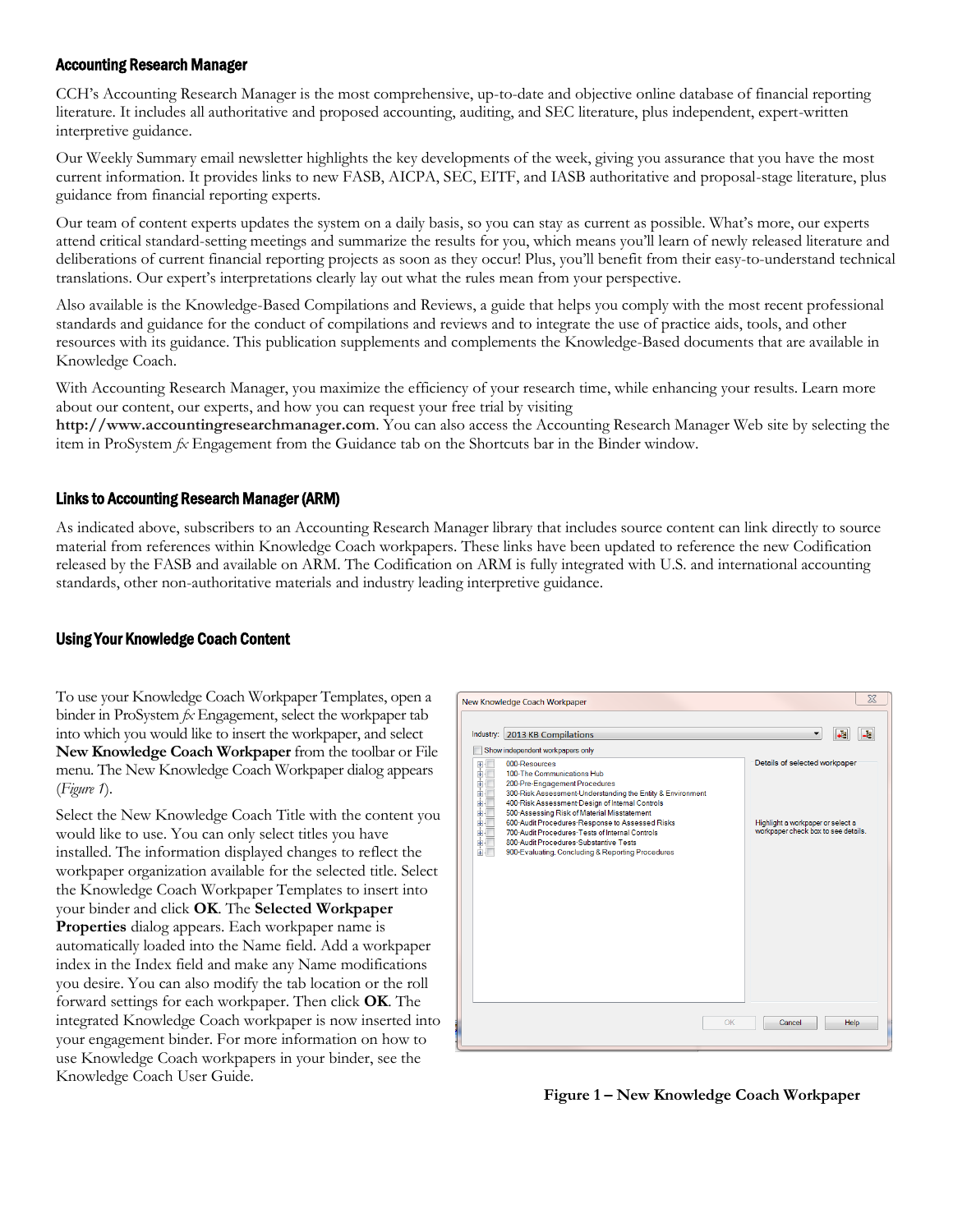#### Accounting Research Manager

CCH's Accounting Research Manager is the most comprehensive, up-to-date and objective online database of financial reporting literature. It includes all authoritative and proposed accounting, auditing, and SEC literature, plus independent, expert-written interpretive guidance.

Our Weekly Summary email newsletter highlights the key developments of the week, giving you assurance that you have the most current information. It provides links to new FASB, AICPA, SEC, EITF, and IASB authoritative and proposal-stage literature, plus guidance from financial reporting experts.

Our team of content experts updates the system on a daily basis, so you can stay as current as possible. What's more, our experts attend critical standard-setting meetings and summarize the results for you, which means you'll learn of newly released literature and deliberations of current financial reporting projects as soon as they occur! Plus, you'll benefit from their easy-to-understand technical translations. Our expert's interpretations clearly lay out what the rules mean from your perspective.

Also available is the Knowledge-Based Compilations and Reviews, a guide that helps you comply with the most recent professional standards and guidance for the conduct of compilations and reviews and to integrate the use of practice aids, tools, and other resources with its guidance. This publication supplements and complements the Knowledge-Based documents that are available in Knowledge Coach.

With Accounting Research Manager, you maximize the efficiency of your research time, while enhancing your results. Learn more about our content, our experts, and how you can request your free trial by visiting

**http://www.accountingresearchmanager.com**. You can also access the Accounting Research Manager Web site by selecting the item in ProSystem *fx* Engagement from the Guidance tab on the Shortcuts bar in the Binder window.

#### Links to Accounting Research Manager (ARM)

As indicated above, subscribers to an Accounting Research Manager library that includes source content can link directly to source material from references within Knowledge Coach workpapers. These links have been updated to reference the new Codification released by the FASB and available on ARM. The Codification on ARM is fully integrated with U.S. and international accounting standards, other non-authoritative materials and industry leading interpretive guidance.

#### Using Your Knowledge Coach Content

To use your Knowledge Coach Workpaper Templates, open a binder in ProSystem *fx* Engagement, select the workpaper tab into which you would like to insert the workpaper, and select **New Knowledge Coach Workpaper** from the toolbar or File menu. The New Knowledge Coach Workpaper dialog appears (*Figure 1*).

Select the New Knowledge Coach Title with the content you would like to use. You can only select titles you have installed. The information displayed changes to reflect the workpaper organization available for the selected title. Select the Knowledge Coach Workpaper Templates to insert into your binder and click **OK**. The **Selected Workpaper Properties** dialog appears. Each workpaper name is automatically loaded into the Name field. Add a workpaper index in the Index field and make any Name modifications you desire. You can also modify the tab location or the roll forward settings for each workpaper. Then click **OK**. The integrated Knowledge Coach workpaper is now inserted into your engagement binder. For more information on how to use Knowledge Coach workpapers in your binder, see the Knowledge Coach User Guide.



**Figure 1 – New Knowledge Coach Workpaper**